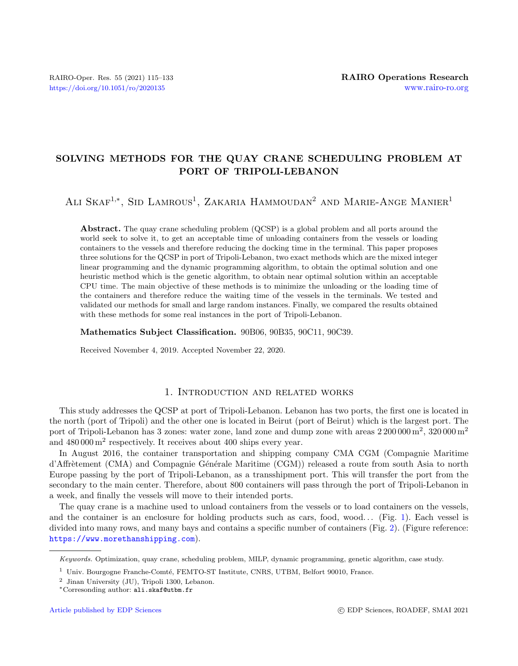# SOLVING METHODS FOR THE QUAY CRANE SCHEDULING PROBLEM AT PORT OF TRIPOLI-LEBANON

# ALI SKAF<sup>1,\*</sup>, SID LAMROUS<sup>1</sup>, ZAKARIA HAMMOUDAN<sup>2</sup> AND MARIE-ANGE MANIER<sup>1</sup>

Abstract. The quay crane scheduling problem (QCSP) is a global problem and all ports around the world seek to solve it, to get an acceptable time of unloading containers from the vessels or loading containers to the vessels and therefore reducing the docking time in the terminal. This paper proposes three solutions for the QCSP in port of Tripoli-Lebanon, two exact methods which are the mixed integer linear programming and the dynamic programming algorithm, to obtain the optimal solution and one heuristic method which is the genetic algorithm, to obtain near optimal solution within an acceptable CPU time. The main objective of these methods is to minimize the unloading or the loading time of the containers and therefore reduce the waiting time of the vessels in the terminals. We tested and validated our methods for small and large random instances. Finally, we compared the results obtained with these methods for some real instances in the port of Tripoli-Lebanon.

#### Mathematics Subject Classification. 90B06, 90B35, 90C11, 90C39.

Received November 4, 2019. Accepted November 22, 2020.

# 1. Introduction and related works

This study addresses the QCSP at port of Tripoli-Lebanon. Lebanon has two ports, the first one is located in the north (port of Tripoli) and the other one is located in Beirut (port of Beirut) which is the largest port. The port of Tripoli-Lebanon has 3 zones: water zone, land zone and dump zone with areas  $2\,200\,000\,\mathrm{m}^2$ ,  $320\,000\,\mathrm{m}^2$ and  $480000 \,\mathrm{m}^2$  respectively. It receives about 400 ships every year.

In August 2016, the container transportation and shipping company CMA CGM (Compagnie Maritime d'Affrètement (CMA) and Compagnie Générale Maritime (CGM)) released a route from south Asia to north Europe passing by the port of Tripoli-Lebanon, as a transshipment port. This will transfer the port from the secondary to the main center. Therefore, about 800 containers will pass through the port of Tripoli-Lebanon in a week, and finally the vessels will move to their intended ports.

The quay crane is a machine used to unload containers from the vessels or to load containers on the vessels, and the container is an enclosure for holding products such as cars, food, wood... (Fig. [1\)](#page-1-0). Each vessel is divided into many rows, and many bays and contains a specific number of containers (Fig. [2\)](#page-1-1). (Figure reference: <https://www.morethanshipping.com>).

Keywords. Optimization, quay crane, scheduling problem, MILP, dynamic programming, genetic algorithm, case study.

 $1$  Univ. Bourgogne Franche-Comté, FEMTO-ST Institute, CNRS, UTBM, Belfort 90010, France.

<sup>2</sup> Jinan University (JU), Tripoli 1300, Lebanon.

<sup>∗</sup>Corresonding author: [ali.skaf@utbm.fr](mailto:ali.skaf@utbm.fr)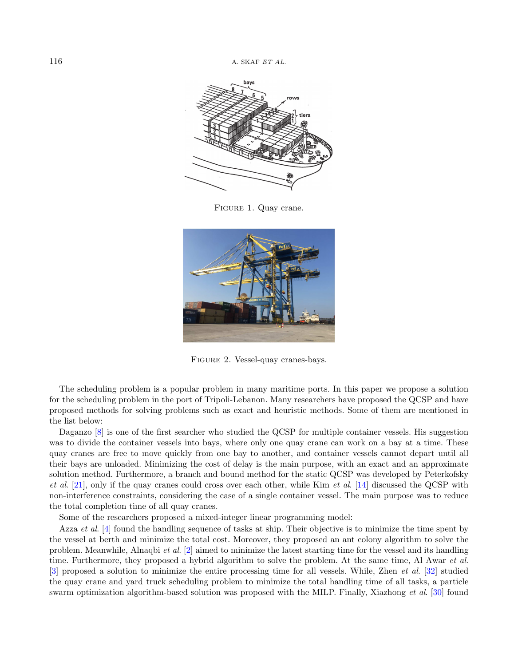

Figure 1. Quay crane.

<span id="page-1-0"></span>

FIGURE 2. Vessel-quay cranes-bays.

<span id="page-1-1"></span>The scheduling problem is a popular problem in many maritime ports. In this paper we propose a solution for the scheduling problem in the port of Tripoli-Lebanon. Many researchers have proposed the QCSP and have proposed methods for solving problems such as exact and heuristic methods. Some of them are mentioned in the list below:

Daganzo [\[8\]](#page-17-0) is one of the first searcher who studied the QCSP for multiple container vessels. His suggestion was to divide the container vessels into bays, where only one quay crane can work on a bay at a time. These quay cranes are free to move quickly from one bay to another, and container vessels cannot depart until all their bays are unloaded. Minimizing the cost of delay is the main purpose, with an exact and an approximate solution method. Furthermore, a branch and bound method for the static QCSP was developed by Peterkofsky et al. [\[21\]](#page-17-1), only if the quay cranes could cross over each other, while Kim et al. [\[14\]](#page-17-2) discussed the QCSP with non-interference constraints, considering the case of a single container vessel. The main purpose was to reduce the total completion time of all quay cranes.

Some of the researchers proposed a mixed-integer linear programming model:

Azza *et al.* [\[4\]](#page-17-3) found the handling sequence of tasks at ship. Their objective is to minimize the time spent by the vessel at berth and minimize the total cost. Moreover, they proposed an ant colony algorithm to solve the problem. Meanwhile, Alnaqbi et al. [\[2\]](#page-17-4) aimed to minimize the latest starting time for the vessel and its handling time. Furthermore, they proposed a hybrid algorithm to solve the problem. At the same time, Al Awar *et al.* [\[3\]](#page-17-5) proposed a solution to minimize the entire processing time for all vessels. While, Zhen et al. [\[32\]](#page-18-0) studied the quay crane and yard truck scheduling problem to minimize the total handling time of all tasks, a particle swarm optimization algorithm-based solution was proposed with the MILP. Finally, Xiazhong et al. [\[30\]](#page-18-1) found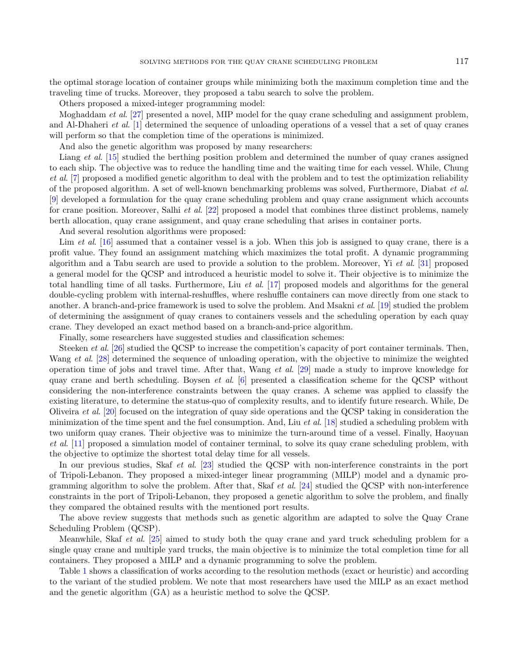the optimal storage location of container groups while minimizing both the maximum completion time and the traveling time of trucks. Moreover, they proposed a tabu search to solve the problem.

Others proposed a mixed-integer programming model:

Moghaddam et al. [\[27\]](#page-17-6) presented a novel, MIP model for the quay crane scheduling and assignment problem, and Al-Dhaheri et al. [\[1\]](#page-17-7) determined the sequence of unloading operations of a vessel that a set of quay cranes will perform so that the completion time of the operations is minimized.

And also the genetic algorithm was proposed by many researchers:

Liang *et al.* [\[15\]](#page-17-8) studied the berthing position problem and determined the number of quay cranes assigned to each ship. The objective was to reduce the handling time and the waiting time for each vessel. While, Chung et al. [\[7\]](#page-17-9) proposed a modified genetic algorithm to deal with the problem and to test the optimization reliability of the proposed algorithm. A set of well-known benchmarking problems was solved, Furthermore, Diabat et al. [\[9\]](#page-17-10) developed a formulation for the quay crane scheduling problem and quay crane assignment which accounts for crane position. Moreover, Salhi et al. [\[22\]](#page-17-11) proposed a model that combines three distinct problems, namely berth allocation, quay crane assignment, and quay crane scheduling that arises in container ports.

And several resolution algorithms were proposed:

Lim et al. [\[16\]](#page-17-12) assumed that a container vessel is a job. When this job is assigned to quay crane, there is a profit value. They found an assignment matching which maximizes the total profit. A dynamic programming algorithm and a Tabu search are used to provide a solution to the problem. Moreover, Yi et al. [\[31\]](#page-18-2) proposed a general model for the QCSP and introduced a heuristic model to solve it. Their objective is to minimize the total handling time of all tasks. Furthermore, Liu et al. [\[17\]](#page-17-13) proposed models and algorithms for the general double-cycling problem with internal-reshuffles, where reshuffle containers can move directly from one stack to another. A branch-and-price framework is used to solve the problem. And Msakni et al. [\[19\]](#page-17-14) studied the problem of determining the assignment of quay cranes to containers vessels and the scheduling operation by each quay crane. They developed an exact method based on a branch-and-price algorithm.

Finally, some researchers have suggested studies and classification schemes:

Steeken *et al.* [\[26\]](#page-17-15) studied the QCSP to increase the competition's capacity of port container terminals. Then, Wang et al. [\[28\]](#page-17-16) determined the sequence of unloading operation, with the objective to minimize the weighted operation time of jobs and travel time. After that, Wang et al. [\[29\]](#page-17-17) made a study to improve knowledge for quay crane and berth scheduling. Boysen *et al.* [\[6\]](#page-17-18) presented a classification scheme for the QCSP without considering the non-interference constraints between the quay cranes. A scheme was applied to classify the existing literature, to determine the status-quo of complexity results, and to identify future research. While, De Oliveira et al. [\[20\]](#page-17-19) focused on the integration of quay side operations and the QCSP taking in consideration the minimization of the time spent and the fuel consumption. And, Liu *et al.* [\[18\]](#page-17-20) studied a scheduling problem with two uniform quay cranes. Their objective was to minimize the turn-around time of a vessel. Finally, Haoyuan et al. [\[11\]](#page-17-21) proposed a simulation model of container terminal, to solve its quay crane scheduling problem, with the objective to optimize the shortest total delay time for all vessels.

In our previous studies, Skaf *et al.* [\[23\]](#page-17-22) studied the QCSP with non-interference constraints in the port of Tripoli-Lebanon. They proposed a mixed-integer linear programming (MILP) model and a dynamic programming algorithm to solve the problem. After that, Skaf et al. [\[24\]](#page-17-23) studied the QCSP with non-interference constraints in the port of Tripoli-Lebanon, they proposed a genetic algorithm to solve the problem, and finally they compared the obtained results with the mentioned port results.

The above review suggests that methods such as genetic algorithm are adapted to solve the Quay Crane Scheduling Problem (QCSP).

Meanwhile, Skaf et al. [\[25\]](#page-17-24) aimed to study both the quay crane and yard truck scheduling problem for a single quay crane and multiple yard trucks, the main objective is to minimize the total completion time for all containers. They proposed a MILP and a dynamic programming to solve the problem.

Table [1](#page-3-0) shows a classification of works according to the resolution methods (exact or heuristic) and according to the variant of the studied problem. We note that most researchers have used the MILP as an exact method and the genetic algorithm (GA) as a heuristic method to solve the QCSP.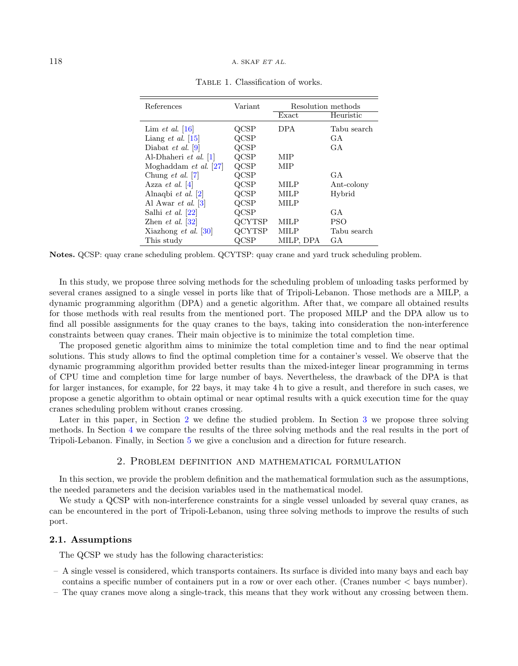<span id="page-3-0"></span>

| References                           | Variant       | Resolution methods |             |
|--------------------------------------|---------------|--------------------|-------------|
|                                      |               | Exact              | Heuristic   |
| Lim <i>et al.</i> [16]               | QCSP          | <b>DPA</b>         | Tabu search |
| Liang <i>et al.</i> $\vert 15 \vert$ | QCSP          |                    | GA          |
| Diabat <i>et al.</i> [9]             | QCSP          |                    | GA          |
| Al-Dhaheri et al. [1]                | $_{\rm QCSP}$ | MIP                |             |
| Moghaddam <i>et al.</i> $[27]$       | $_{\rm QCSP}$ | MIP                |             |
| Chung <i>et al.</i> [7]              | QCSP          |                    | GA          |
| Azza <i>et al.</i> $ 4 $             | QCSP          | <b>MILP</b>        | Ant-colony  |
| Alnaqbi <i>et al.</i> $[2]$          | $_{\rm QCSP}$ | <b>MILP</b>        | Hybrid      |
| Al Awar <i>et al.</i> [3]            | QCSP          | MILP               |             |
| Salhi et al. [22]                    | QCSP          |                    | GА          |
| Zhen <i>et al.</i> $ 32 $            | <b>QCYTSP</b> | MILP               | <b>PSO</b>  |
| Xiazhong et al. [30]                 | <b>QCYTSP</b> | MILP               | Tabu search |
| This study                           |               | MILP, DPA          | <b>GA</b>   |

TABLE 1. Classification of works.

Notes. QCSP: quay crane scheduling problem. QCYTSP: quay crane and yard truck scheduling problem.

In this study, we propose three solving methods for the scheduling problem of unloading tasks performed by several cranes assigned to a single vessel in ports like that of Tripoli-Lebanon. Those methods are a MILP, a dynamic programming algorithm (DPA) and a genetic algorithm. After that, we compare all obtained results for those methods with real results from the mentioned port. The proposed MILP and the DPA allow us to find all possible assignments for the quay cranes to the bays, taking into consideration the non-interference constraints between quay cranes. Their main objective is to minimize the total completion time.

The proposed genetic algorithm aims to minimize the total completion time and to find the near optimal solutions. This study allows to find the optimal completion time for a container's vessel. We observe that the dynamic programming algorithm provided better results than the mixed-integer linear programming in terms of CPU time and completion time for large number of bays. Nevertheless, the drawback of the DPA is that for larger instances, for example, for 22 bays, it may take 4 h to give a result, and therefore in such cases, we propose a genetic algorithm to obtain optimal or near optimal results with a quick execution time for the quay cranes scheduling problem without cranes crossing.

Later in this paper, in Section [2](#page-3-1) we define the studied problem. In Section [3](#page-4-0) we propose three solving methods. In Section [4](#page-12-0) we compare the results of the three solving methods and the real results in the port of Tripoli-Lebanon. Finally, in Section [5](#page-16-0) we give a conclusion and a direction for future research.

#### 2. Problem definition and mathematical formulation

<span id="page-3-1"></span>In this section, we provide the problem definition and the mathematical formulation such as the assumptions, the needed parameters and the decision variables used in the mathematical model.

We study a QCSP with non-interference constraints for a single vessel unloaded by several quay cranes, as can be encountered in the port of Tripoli-Lebanon, using three solving methods to improve the results of such port.

### 2.1. Assumptions

The QCSP we study has the following characteristics:

- A single vessel is considered, which transports containers. Its surface is divided into many bays and each bay contains a specific number of containers put in a row or over each other. (Cranes number < bays number).
- The quay cranes move along a single-track, this means that they work without any crossing between them.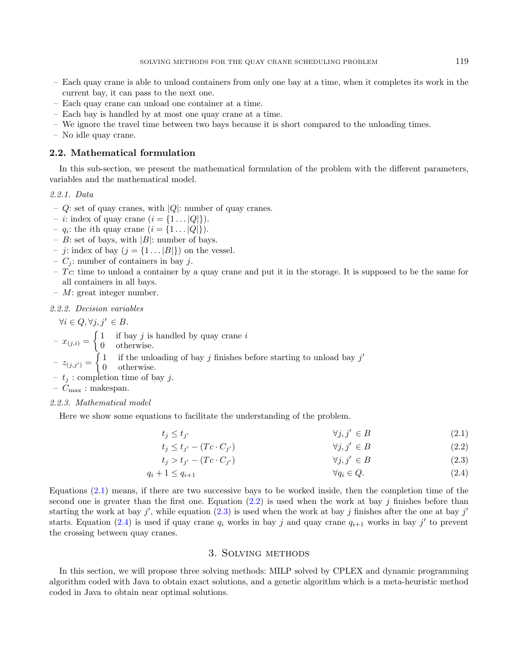- Each quay crane is able to unload containers from only one bay at a time, when it completes its work in the current bay, it can pass to the next one.
- Each quay crane can unload one container at a time.
- Each bay is handled by at most one quay crane at a time.
- We ignore the travel time between two bays because it is short compared to the unloading times.
- No idle quay crane.

#### 2.2. Mathematical formulation

In this sub-section, we present the mathematical formulation of the problem with the different parameters, variables and the mathematical model.

#### 2.2.1. Data

- $Q$ : set of quay cranes, with  $|Q|$ : number of quay cranes.
- *i*: index of quay crane  $(i = \{1 \dots |Q|\})$ .
- $q_i$ : the *i*th quay crane  $(i = \{1 \dots |Q|\})$ .
- B: set of bays, with  $|B|$ : number of bays.
- *j*: index of bay  $(j = \{1 \dots |B|\})$  on the vessel.
- $C_i$ : number of containers in bay j.
- $-$  Tc: time to unload a container by a quay crane and put it in the storage. It is supposed to be the same for all containers in all bays.
- $M$ : great integer number.

2.2.2. Decision variables

 $\forall i \in Q, \forall j, j' \in B.$ 

 $-x_{(j,i)} = \begin{cases} 1 & \text{if bay } j \text{ is handled by quay crane } i \\ 0 & \text{otherwise} \end{cases}$ 

0 otherwise.

 $z_{(j,j')} = \begin{cases} 1 & \text{if the unloading of bay } j \text{ finishes before starting to unload bay } j' \end{cases}$ 

- 0 otherwise.
- $t_i$ : completion time of bay j.

–  $C_{\text{max}}$ : makespan.

#### 2.2.3. Mathematical model

Here we show some equations to facilitate the understanding of the problem.

<span id="page-4-4"></span><span id="page-4-3"></span><span id="page-4-2"></span><span id="page-4-1"></span>
$$
t_j \le t_{j'} \qquad \qquad \forall j, j' \in B \tag{2.1}
$$

$$
t_j \le t_{j'} - (Tc \cdot C_{j'}) \qquad \qquad \forall j, j' \in B \tag{2.2}
$$

$$
t_j > t_{j'} - (Tc \cdot C_{j'}) \qquad \qquad \forall j, j' \in B \tag{2.3}
$$

$$
q_i + 1 \le q_{i+1} \qquad \qquad \forall q_i \in Q. \tag{2.4}
$$

Equations [\(2.1\)](#page-4-1) means, if there are two successive bays to be worked inside, then the completion time of the second one is greater than the first one. Equation  $(2.2)$  is used when the work at bay j finishes before than starting the work at bay j', while equation [\(2.3\)](#page-4-3) is used when the work at bay j finishes after the one at bay j' starts. Equation [\(2.4\)](#page-4-4) is used if quay crane  $q_i$  works in bay j and quay crane  $q_{i+1}$  works in bay j' to prevent the crossing between quay cranes.

### 3. Solving methods

<span id="page-4-0"></span>In this section, we will propose three solving methods: MILP solved by CPLEX and dynamic programming algorithm coded with Java to obtain exact solutions, and a genetic algorithm which is a meta-heuristic method coded in Java to obtain near optimal solutions.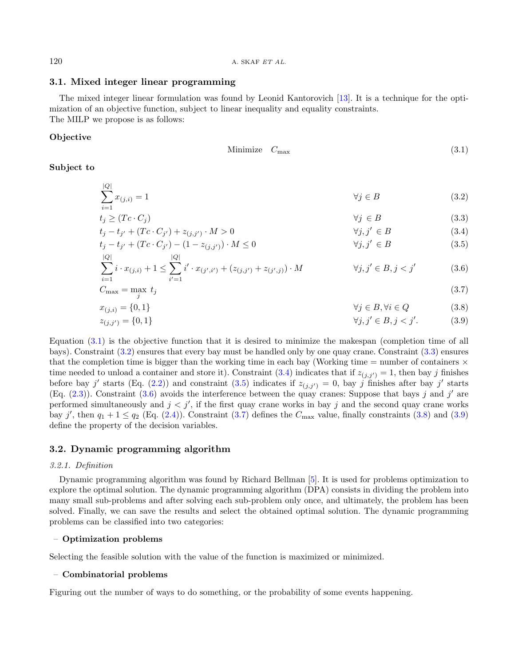### <span id="page-5-0"></span>3.1. Mixed integer linear programming

The mixed integer linear formulation was found by Leonid Kantorovich [\[13\]](#page-17-25). It is a technique for the optimization of an objective function, subject to linear inequality and equality constraints. The MILP we propose is as follows:

# Objective

<span id="page-5-8"></span><span id="page-5-7"></span><span id="page-5-6"></span><span id="page-5-5"></span><span id="page-5-4"></span><span id="page-5-3"></span><span id="page-5-2"></span><span id="page-5-1"></span>
$$
Minimize \t C_{\text{max}} \t(3.1)
$$

# Subject to

$$
\sum_{i=1}^{|Q|} x_{(j,i)} = 1 \tag{3.2}
$$

$$
t_j \ge (Tc \cdot C_j) \qquad \forall j \in B \qquad (3.3)
$$
  
\n
$$
t_j - t_{j'} + (Tc \cdot C_{j'}) + z_{(j,j')} \cdot M > 0 \qquad \forall j, j' \in B \qquad (3.4)
$$

$$
t_j - t_{j'} + (Tc \cdot C_{j'}) - (1 - z_{(j,j')}) \cdot M \le 0
$$
  
 
$$
|Q|
$$
  $\forall j, j' \in B$  (3.5)

$$
\sum_{i=1}^{\infty} i \cdot x_{(j,i)} + 1 \le \sum_{i'=1}^{\infty} i' \cdot x_{(j',i')} + (z_{(j,j')} + z_{(j',j)}) \cdot M \qquad \forall j, j' \in B, j < j'
$$
 (3.6)

$$
C_{\text{max}} = \max_{j} t_j \tag{3.7}
$$

$$
x_{(j,i)} = \{0,1\} \qquad \qquad \forall j \in B, \forall i \in Q \qquad (3.8)
$$
  

$$
x_{(j,i)} = \{0,1\} \qquad \qquad \forall j \in B, \forall i \in Q \qquad (3.9)
$$

$$
z_{(j,j')} = \{0,1\} \qquad \qquad \forall j,j' \in B, j < j'. \tag{3.9}
$$

Equation  $(3.1)$  is the objective function that it is desired to minimize the makespan (completion time of all bays). Constraint [\(3.2\)](#page-5-1) ensures that every bay must be handled only by one quay crane. Constraint [\(3.3\)](#page-5-2) ensures that the completion time is bigger than the working time in each bay (Working time  $=$  number of containers  $\times$ time needed to unload a container and store it). Constraint [\(3.4\)](#page-5-3) indicates that if  $z_{(i,i')} = 1$ , then bay j finishes before bay j' starts (Eq. [\(2.2\)](#page-4-2)) and constraint [\(3.5\)](#page-5-4) indicates if  $z_{(j,j')} = 0$ , bay j finishes after bay j' starts (Eq.  $(2.3)$ ). Constraint  $(3.6)$  avoids the interference between the quay cranes: Suppose that bays j and j' are performed simultaneously and  $j < j'$ , if the first quay crane works in bay j and the second quay crane works bay j', then  $q_1 + 1 \leq q_2$  (Eq. [\(2.4\)](#page-4-4)). Constraint [\(3.7\)](#page-5-6) defines the  $C_{\text{max}}$  value, finally constraints [\(3.8\)](#page-5-7) and [\(3.9\)](#page-5-8) define the property of the decision variables.

#### 3.2. Dynamic programming algorithm

#### 3.2.1. Definition

Dynamic programming algorithm was found by Richard Bellman [\[5\]](#page-17-26). It is used for problems optimization to explore the optimal solution. The dynamic programming algorithm (DPA) consists in dividing the problem into many small sub-problems and after solving each sub-problem only once, and ultimately, the problem has been solved. Finally, we can save the results and select the obtained optimal solution. The dynamic programming problems can be classified into two categories:

#### – Optimization problems

Selecting the feasible solution with the value of the function is maximized or minimized.

#### – Combinatorial problems

Figuring out the number of ways to do something, or the probability of some events happening.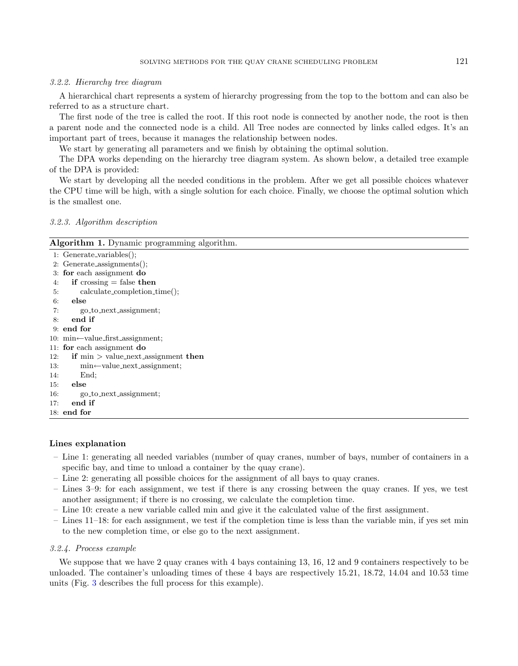#### 3.2.2. Hierarchy tree diagram

A hierarchical chart represents a system of hierarchy progressing from the top to the bottom and can also be referred to as a structure chart.

The first node of the tree is called the root. If this root node is connected by another node, the root is then a parent node and the connected node is a child. All Tree nodes are connected by links called edges. It's an important part of trees, because it manages the relationship between nodes.

We start by generating all parameters and we finish by obtaining the optimal solution.

The DPA works depending on the hierarchy tree diagram system. As shown below, a detailed tree example of the DPA is provided:

We start by developing all the needed conditions in the problem. After we get all possible choices whatever the CPU time will be high, with a single solution for each choice. Finally, we choose the optimal solution which is the smallest one.

# 3.2.3. Algorithm description

| <b>Algorithm 1.</b> Dynamic programming algorithm. |  |  |  |
|----------------------------------------------------|--|--|--|
|----------------------------------------------------|--|--|--|

| $1:$ Generate_variables $($ );                              |  |
|-------------------------------------------------------------|--|
| 2: $Generate_assignments();$                                |  |
| 3: for each assignment do                                   |  |
| if crossing $=$ false then<br>4:                            |  |
| $calculate_{completion_time}();$<br>5:                      |  |
| else<br>6:                                                  |  |
| go <sub>to_next_assignment</sub> ;<br>7:                    |  |
| end if<br>8:                                                |  |
| $9:$ end for                                                |  |
| 10: $min \leftarrow value\_first\_assignment$ ;             |  |
| 11: for each assignment $d\mathbf{o}$                       |  |
| <b>if</b> $\min$ > value_next_assignment <b>then</b><br>12: |  |
| $min$ $\leftarrow$ value_next_assignment;<br>13:            |  |
| End:<br>14:                                                 |  |
| $15:$ else                                                  |  |
| go_to_next_assignment;<br>16:                               |  |
| end if<br>17:                                               |  |
| 18: end for                                                 |  |

#### Lines explanation

- Line 1: generating all needed variables (number of quay cranes, number of bays, number of containers in a specific bay, and time to unload a container by the quay crane).
- Line 2: generating all possible choices for the assignment of all bays to quay cranes.
- Lines 3–9: for each assignment, we test if there is any crossing between the quay cranes. If yes, we test another assignment; if there is no crossing, we calculate the completion time.
- Line 10: create a new variable called min and give it the calculated value of the first assignment.
- Lines 11–18: for each assignment, we test if the completion time is less than the variable min, if yes set min to the new completion time, or else go to the next assignment.

#### 3.2.4. Process example

We suppose that we have 2 quay cranes with 4 bays containing 13, 16, 12 and 9 containers respectively to be unloaded. The container's unloading times of these 4 bays are respectively 15.21, 18.72, 14.04 and 10.53 time units (Fig. [3](#page-7-0) describes the full process for this example).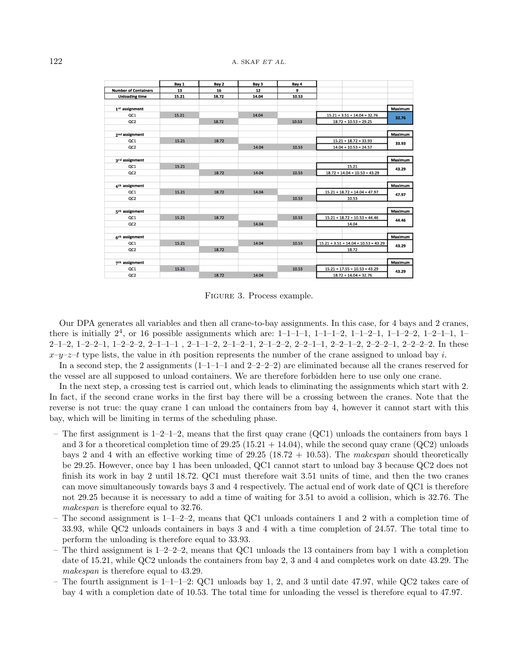|                             | Bay 1 | Bay 2 | Bay 3 | Bay 4 |                                        |         |
|-----------------------------|-------|-------|-------|-------|----------------------------------------|---------|
| <b>Number of Containers</b> | 13    | 16    | 12    | 9     |                                        |         |
| <b>Unloading time</b>       | 15.21 | 18.72 | 14.04 | 10.53 |                                        |         |
| $1^{st}$ assignment         |       |       |       |       |                                        | Maximum |
| QC1                         | 15.21 |       | 14.04 |       | $15.21 + 3.51 + 14.04 = 32.76$         | 32.76   |
| QC <sub>2</sub>             |       | 18.72 |       | 10.53 | $18.72 + 10.53 = 29.25$                |         |
| $2^{nd}$ assignment         |       |       |       |       |                                        | Maximum |
| QC1                         | 15.21 | 18.72 |       |       | $15.21 + 18.72 = 33.93$                |         |
| QC <sub>2</sub>             |       |       | 14.04 | 10.53 | $14.04 + 10.53 = 24.57$                | 33.93   |
| $3^{rd}$ assignment         |       |       |       |       |                                        | Maximum |
| QC1                         | 15.21 |       |       |       | 15.21                                  |         |
| QC2                         |       | 18.72 | 14.04 | 10.53 | $18.72 + 14.04 + 10.53 = 43.29$        | 43.29   |
| $4th$ assignment            |       |       |       |       |                                        | Maximum |
| QC1                         | 15.21 | 18.72 | 14.04 |       | $15.21 + 18.72 + 14.04 = 47.97$        |         |
| QC <sub>2</sub>             |       |       |       | 10.53 | 10.53                                  | 47.97   |
| $5th$ assignment            |       |       |       |       |                                        | Maximum |
| QC1                         | 15.21 | 18.72 |       | 10.53 | $15.21 + 18.72 + 10.53 = 44.46$        | 44.46   |
| QC2                         |       |       | 14.04 |       | 14.04                                  |         |
| $6th$ assignment            |       |       |       |       |                                        | Maximum |
| QC1                         | 15.21 |       | 14.04 | 10.53 | $15.21 + 3.51 + 14.04 + 10.53 = 43.29$ | 43.29   |
| OC2                         |       | 18.72 |       |       | 18.72                                  |         |
| $7th$ assignment            |       |       |       |       |                                        | Maximum |
| QC1                         | 15.21 |       |       | 10.53 | $15.21 + 17.55 + 10.53 = 43.29$        |         |
| QC <sub>2</sub>             |       | 18.72 | 14.04 |       | $18.72 + 14.04 = 32.76$                | 43.29   |

Figure 3. Process example.

<span id="page-7-0"></span>Our DPA generates all variables and then all crane-to-bay assignments. In this case, for 4 bays and 2 cranes, there is initially  $2^4$ , or 16 possible assignments which are: 1-1-1-1, 1-1-1-2, 1-1-2-1, 1-1-2-2, 1-2-1-1, 1-2–1–2, 1–2–2–1, 1–2–2–2, 2–1–1–1 , 2–1–1–2, 2–1–2–1, 2–1–2–2, 2–2–1–1, 2–2–1–2, 2–2–2–1, 2–2–2–2. In these  $x-y-z-t$  type lists, the value in ith position represents the number of the crane assigned to unload bay i.

In a second step, the 2 assignments  $(1-1-1-1)$  and  $2-2-2-2$ ) are eliminated because all the cranes reserved for the vessel are all supposed to unload containers. We are therefore forbidden here to use only one crane.

In the next step, a crossing test is carried out, which leads to eliminating the assignments which start with 2. In fact, if the second crane works in the first bay there will be a crossing between the cranes. Note that the reverse is not true: the quay crane 1 can unload the containers from bay 4, however it cannot start with this bay, which will be limiting in terms of the scheduling phase.

- The first assignment is  $1-2-1-2$ , means that the first quay crane (QC1) unloads the containers from bays 1 and 3 for a theoretical completion time of  $29.25 (15.21 + 14.04)$ , while the second quay crane (QC2) unloads bays 2 and 4 with an effective working time of  $29.25$  (18.72 + 10.53). The makespan should theoretically be 29.25. However, once bay 1 has been unloaded, QC1 cannot start to unload bay 3 because QC2 does not finish its work in bay 2 until 18.72. QC1 must therefore wait 3.51 units of time, and then the two cranes can move simultaneously towards bays 3 and 4 respectively. The actual end of work date of QC1 is therefore not 29.25 because it is necessary to add a time of waiting for 3.51 to avoid a collision, which is 32.76. The makespan is therefore equal to 32.76.
- The second assignment is  $1-1-2-2$ , means that QC1 unloads containers 1 and 2 with a completion time of 33.93, while QC2 unloads containers in bays 3 and 4 with a time completion of 24.57. The total time to perform the unloading is therefore equal to 33.93.
- The third assignment is  $1-2-2-2$ , means that QC1 unloads the 13 containers from bay 1 with a completion date of 15.21, while QC2 unloads the containers from bay 2, 3 and 4 and completes work on date 43.29. The makespan is therefore equal to 43.29.
- The fourth assignment is  $1-1-1-2$ : QC1 unloads bay 1, 2, and 3 until date 47.97, while QC2 takes care of bay 4 with a completion date of 10.53. The total time for unloading the vessel is therefore equal to 47.97.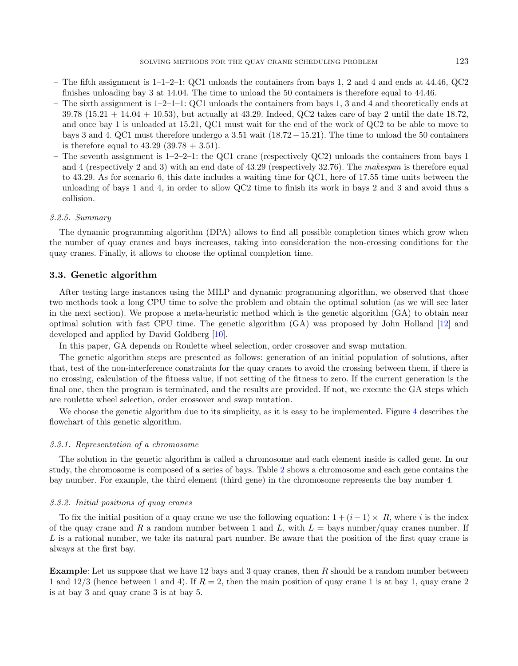- The fifth assignment is  $1-1-2-1$ : QC1 unloads the containers from bays 1, 2 and 4 and ends at  $44.46$ , QC2 finishes unloading bay 3 at 14.04. The time to unload the 50 containers is therefore equal to 44.46.
- The sixth assignment is  $1-2-1-1$ : QC1 unloads the containers from bays 1, 3 and 4 and theoretically ends at 39.78 (15.21 + 14.04 + 10.53), but actually at 43.29. Indeed, QC2 takes care of bay 2 until the date 18.72, and once bay 1 is unloaded at 15.21, QC1 must wait for the end of the work of QC2 to be able to move to bays 3 and 4. QC1 must therefore undergo a 3.51 wait (18.72−15.21). The time to unload the 50 containers is therefore equal to  $43.29 (39.78 + 3.51)$ .
- The seventh assignment is 1–2–2–1: the QC1 crane (respectively QC2) unloads the containers from bays 1 and 4 (respectively 2 and 3) with an end date of 43.29 (respectively 32.76). The makespan is therefore equal to 43.29. As for scenario 6, this date includes a waiting time for QC1, here of 17.55 time units between the unloading of bays 1 and 4, in order to allow QC2 time to finish its work in bays 2 and 3 and avoid thus a collision.

#### 3.2.5. Summary

The dynamic programming algorithm (DPA) allows to find all possible completion times which grow when the number of quay cranes and bays increases, taking into consideration the non-crossing conditions for the quay cranes. Finally, it allows to choose the optimal completion time.

# 3.3. Genetic algorithm

After testing large instances using the MILP and dynamic programming algorithm, we observed that those two methods took a long CPU time to solve the problem and obtain the optimal solution (as we will see later in the next section). We propose a meta-heuristic method which is the genetic algorithm (GA) to obtain near optimal solution with fast CPU time. The genetic algorithm (GA) was proposed by John Holland [\[12\]](#page-17-27) and developed and applied by David Goldberg [\[10\]](#page-17-28).

In this paper, GA depends on Roulette wheel selection, order crossover and swap mutation.

The genetic algorithm steps are presented as follows: generation of an initial population of solutions, after that, test of the non-interference constraints for the quay cranes to avoid the crossing between them, if there is no crossing, calculation of the fitness value, if not setting of the fitness to zero. If the current generation is the final one, then the program is terminated, and the results are provided. If not, we execute the GA steps which are roulette wheel selection, order crossover and swap mutation.

We choose the genetic algorithm due to its simplicity, as it is easy to be implemented. Figure [4](#page-9-0) describes the flowchart of this genetic algorithm.

#### <span id="page-8-0"></span>3.3.1. Representation of a chromosome

The solution in the genetic algorithm is called a chromosome and each element inside is called gene. In our study, the chromosome is composed of a series of bays. Table [2](#page-9-1) shows a chromosome and each gene contains the bay number. For example, the third element (third gene) in the chromosome represents the bay number 4.

#### 3.3.2. Initial positions of quay cranes

To fix the initial position of a quay crane we use the following equation:  $1 + (i - 1) \times R$ , where i is the index of the quay crane and R a random number between 1 and L, with  $L =$  bays number/quay cranes number. If L is a rational number, we take its natural part number. Be aware that the position of the first quay crane is always at the first bay.

Example: Let us suppose that we have 12 bays and 3 quay cranes, then R should be a random number between 1 and  $12/3$  (hence between 1 and 4). If  $R = 2$ , then the main position of quay crane 1 is at bay 1, quay crane 2 is at bay 3 and quay crane 3 is at bay 5.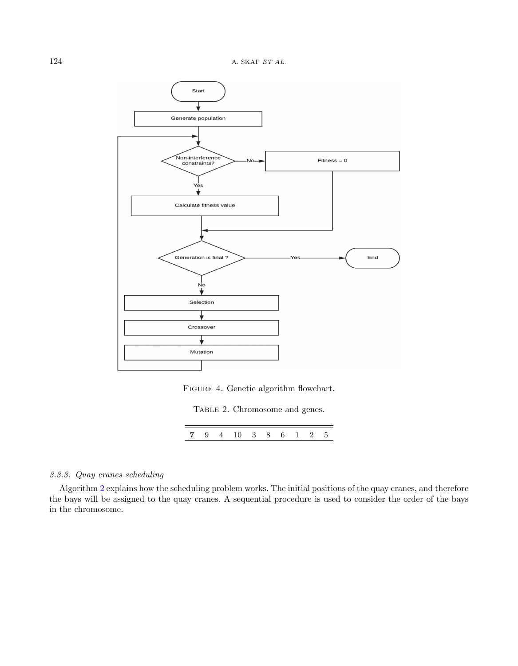

FIGURE 4. Genetic algorithm flowchart.

TABLE 2. Chromosome and genes.

|--|

# <span id="page-9-1"></span><span id="page-9-0"></span>3.3.3. Quay cranes scheduling

Algorithm [2](#page-10-0) explains how the scheduling problem works. The initial positions of the quay cranes, and therefore the bays will be assigned to the quay cranes. A sequential procedure is used to consider the order of the bays in the chromosome.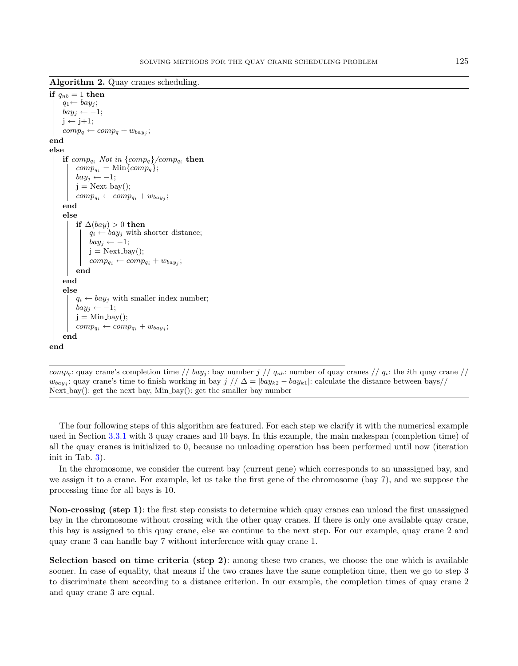Algorithm 2. Quay cranes scheduling.

```
if q_{nb} = 1 then
     q_1 \leftarrow bay_j;bay_i \leftarrow -1;j \leftarrow j+1;comp_q \leftarrow comp_q + w_{bay_j};end
else
     if comp_{q_i} Not in \{comp_q\}/comp_{q_i} then
          comp_{a_i} = \text{Min}\{comp_a\};bay_i \leftarrow -1;j = Next_{\text{day}};
           comp_{q_i} \leftarrow comp_{q_i} + w_{bay_j};end
     else
          if \Delta(bay) > 0 then
               q_i \leftarrow bay_j with shorter distance;
               bay_i \leftarrow -1;j = Next-bay();
                comp_{q_i} \leftarrow comp_{q_i} + w_{bay_j};end
     end
     else
          q_i \leftarrow bay_j with smaller index number;
          bay_i \leftarrow -1;j = Min_bay;
           comp_{q_i} \leftarrow comp_{q_i} + w_{bay_j};end
end
```
<span id="page-10-0"></span>comp<sub>q</sub>: quay crane's completion time // bay<sub>j</sub>: bay number j //  $q_{nb}$ : number of quay cranes //  $q_i$ : the *i*th quay crane //  $w_{bayj}$ : quay crane's time to finish working in bay  $j$   $// \Delta = |bay_{k2} - bay_{k1}|$ : calculate the distance between bays $/$ Next bay(): get the next bay, Min bay(): get the smaller bay number

The four following steps of this algorithm are featured. For each step we clarify it with the numerical example used in Section [3.3.1](#page-8-0) with 3 quay cranes and 10 bays. In this example, the main makespan (completion time) of all the quay cranes is initialized to 0, because no unloading operation has been performed until now (iteration init in Tab. [3\)](#page-11-0).

In the chromosome, we consider the current bay (current gene) which corresponds to an unassigned bay, and we assign it to a crane. For example, let us take the first gene of the chromosome (bay 7), and we suppose the processing time for all bays is 10.

Non-crossing (step 1): the first step consists to determine which quay cranes can unload the first unassigned bay in the chromosome without crossing with the other quay cranes. If there is only one available quay crane, this bay is assigned to this quay crane, else we continue to the next step. For our example, quay crane 2 and quay crane 3 can handle bay 7 without interference with quay crane 1.

Selection based on time criteria (step 2): among these two cranes, we choose the one which is available sooner. In case of equality, that means if the two cranes have the same completion time, then we go to step 3 to discriminate them according to a distance criterion. In our example, the completion times of quay crane 2 and quay crane 3 are equal.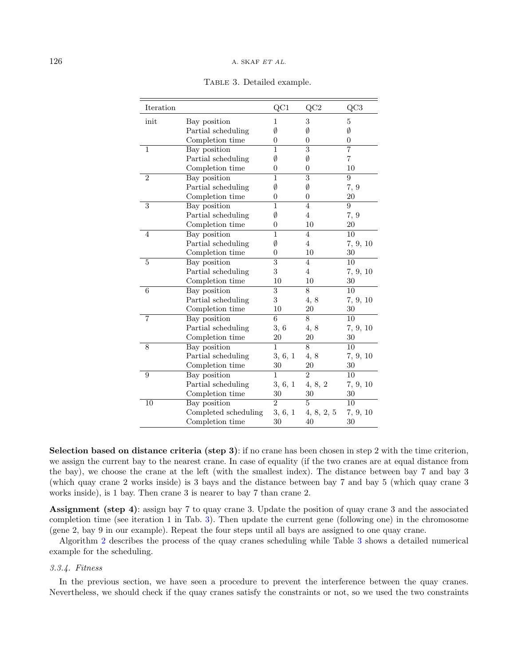<span id="page-11-0"></span>

| Iteration      |                      | QC1              | QC2            | QC3            |
|----------------|----------------------|------------------|----------------|----------------|
| init           | Bay position         | 1                | 3              | $\overline{5}$ |
|                | Partial scheduling   | Ø                | Ø              | Ø              |
|                | Completion time      | 0                | 0              | $\overline{0}$ |
| $\overline{1}$ | Bay position         | 1                | 3              | $\overline{7}$ |
|                | Partial scheduling   | Ø                | Ø              | $\overline{7}$ |
|                | Completion time      | $\overline{0}$   | $\overline{0}$ | 10             |
| $\overline{2}$ | Bay position         | 1                | 3              | 9              |
|                | Partial scheduling   | Ø                | Ø              | 7, 9           |
|                | Completion time      | $\overline{0}$   | $\overline{0}$ | 20             |
| 3              | Bay position         | $\mathbf{1}$     | $\overline{4}$ | 9              |
|                | Partial scheduling   | Ø                | $\overline{4}$ | 7, 9           |
|                | Completion time      | $\boldsymbol{0}$ | 10             | 20             |
| $\overline{4}$ | Bay position         | $\mathbf{1}$     | $\overline{4}$ | 10             |
|                | Partial scheduling   | Ø                | $\overline{4}$ | 7, 9, 10       |
|                | Completion time      | $\overline{0}$   | $10\,$         | 30             |
| $\overline{5}$ | Bay position         | 3                | $\overline{4}$ | 10             |
|                | Partial scheduling   | 3                | $\overline{4}$ | 7, 9, 10       |
|                | Completion time      | 10               | 10             | 30             |
| 6              | Bay position         | 3                | 8              | 10             |
|                | Partial scheduling   | 3                | 4,8            | 7, 9, 10       |
|                | Completion time      | 10               | 20             | 30             |
| $\overline{7}$ | Bay position         | 6                | 8              | 10             |
|                | Partial scheduling   | 3, 6             | 4,8            | 7, 9, 10       |
|                | Completion time      | $20\,$           | 20             | 30             |
| 8              | Bay position         | 1                | 8              | 10             |
|                | Partial scheduling   | 3, 6, 1          | 4, 8           | 7, 9, 10       |
|                | Completion time      | 30               | 20             | 30             |
| 9              | Bay position         | 1                | $\overline{2}$ | 10             |
|                | Partial scheduling   | 3, 6, 1          | 4, 8, 2        | 7, 9, 10       |
|                | Completion time      | 30               | 30             | 30             |
| 10             | Bay position         | $\overline{2}$   | 5              | 10             |
|                | Completed scheduling | 3, 6, 1          | 4, 8, 2, 5     | 7, 9, 10       |
|                | Completion time      | 30               | 40             | 30             |

Table 3. Detailed example.

Selection based on distance criteria (step 3): if no crane has been chosen in step 2 with the time criterion, we assign the current bay to the nearest crane. In case of equality (if the two cranes are at equal distance from the bay), we choose the crane at the left (with the smallest index). The distance between bay 7 and bay 3 (which quay crane 2 works inside) is 3 bays and the distance between bay 7 and bay 5 (which quay crane 3 works inside), is 1 bay. Then crane 3 is nearer to bay 7 than crane 2.

Assignment (step 4): assign bay 7 to quay crane 3. Update the position of quay crane 3 and the associated completion time (see iteration 1 in Tab. [3\)](#page-11-0). Then update the current gene (following one) in the chromosome (gene 2, bay 9 in our example). Repeat the four steps until all bays are assigned to one quay crane.

Algorithm [2](#page-10-0) describes the process of the quay cranes scheduling while Table [3](#page-11-0) shows a detailed numerical example for the scheduling.

#### 3.3.4. Fitness

In the previous section, we have seen a procedure to prevent the interference between the quay cranes. Nevertheless, we should check if the quay cranes satisfy the constraints or not, so we used the two constraints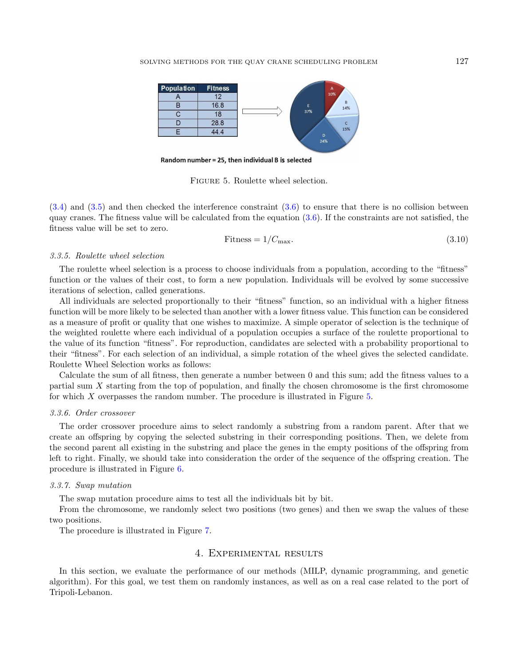

Random number = 25, then individual B is selected

Figure 5. Roulette wheel selection.

<span id="page-12-1"></span>[\(3.4\)](#page-5-3) and [\(3.5\)](#page-5-4) and then checked the interference constraint [\(3.6\)](#page-5-5) to ensure that there is no collision between quay cranes. The fitness value will be calculated from the equation  $(3.6)$ . If the constraints are not satisfied, the fitness value will be set to zero.

$$
Fitness = 1/C_{\text{max}}.\tag{3.10}
$$

#### 3.3.5. Roulette wheel selection

The roulette wheel selection is a process to choose individuals from a population, according to the "fitness" function or the values of their cost, to form a new population. Individuals will be evolved by some successive iterations of selection, called generations.

All individuals are selected proportionally to their "fitness" function, so an individual with a higher fitness function will be more likely to be selected than another with a lower fitness value. This function can be considered as a measure of profit or quality that one wishes to maximize. A simple operator of selection is the technique of the weighted roulette where each individual of a population occupies a surface of the roulette proportional to the value of its function "fitness". For reproduction, candidates are selected with a probability proportional to their "fitness". For each selection of an individual, a simple rotation of the wheel gives the selected candidate. Roulette Wheel Selection works as follows:

Calculate the sum of all fitness, then generate a number between 0 and this sum; add the fitness values to a partial sum X starting from the top of population, and finally the chosen chromosome is the first chromosome for which X overpasses the random number. The procedure is illustrated in Figure [5.](#page-12-1)

#### 3.3.6. Order crossover

The order crossover procedure aims to select randomly a substring from a random parent. After that we create an offspring by copying the selected substring in their corresponding positions. Then, we delete from the second parent all existing in the substring and place the genes in the empty positions of the offspring from left to right. Finally, we should take into consideration the order of the sequence of the offspring creation. The procedure is illustrated in Figure [6.](#page-13-0)

#### 3.3.7. Swap mutation

The swap mutation procedure aims to test all the individuals bit by bit.

From the chromosome, we randomly select two positions (two genes) and then we swap the values of these two positions.

<span id="page-12-0"></span>The procedure is illustrated in Figure [7.](#page-13-1)

# 4. Experimental results

In this section, we evaluate the performance of our methods (MILP, dynamic programming, and genetic algorithm). For this goal, we test them on randomly instances, as well as on a real case related to the port of Tripoli-Lebanon.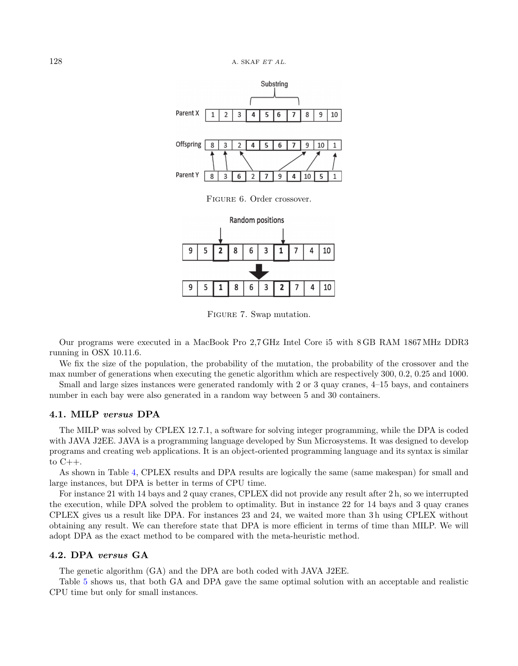

FIGURE 6. Order crossover.

<span id="page-13-0"></span>

Figure 7. Swap mutation.

<span id="page-13-1"></span>Our programs were executed in a MacBook Pro 2,7 GHz Intel Core i5 with 8 GB RAM 1867 MHz DDR3 running in OSX 10.11.6.

We fix the size of the population, the probability of the mutation, the probability of the crossover and the max number of generations when executing the genetic algorithm which are respectively 300, 0.2, 0.25 and 1000.

Small and large sizes instances were generated randomly with 2 or 3 quay cranes, 4–15 bays, and containers number in each bay were also generated in a random way between 5 and 30 containers.

# 4.1. MILP versus DPA

The MILP was solved by CPLEX 12.7.1, a software for solving integer programming, while the DPA is coded with JAVA J2EE. JAVA is a programming language developed by Sun Microsystems. It was designed to develop programs and creating web applications. It is an object-oriented programming language and its syntax is similar to  $C++$ .

As shown in Table [4,](#page-14-0) CPLEX results and DPA results are logically the same (same makespan) for small and large instances, but DPA is better in terms of CPU time.

For instance 21 with 14 bays and 2 quay cranes, CPLEX did not provide any result after 2 h, so we interrupted the execution, while DPA solved the problem to optimality. But in instance 22 for 14 bays and 3 quay cranes CPLEX gives us a result like DPA. For instances 23 and 24, we waited more than 3 h using CPLEX without obtaining any result. We can therefore state that DPA is more efficient in terms of time than MILP. We will adopt DPA as the exact method to be compared with the meta-heuristic method.

### 4.2. DPA versus GA

The genetic algorithm (GA) and the DPA are both coded with JAVA J2EE.

Table [5](#page-14-1) shows us, that both GA and DPA gave the same optimal solution with an acceptable and realistic CPU time but only for small instances.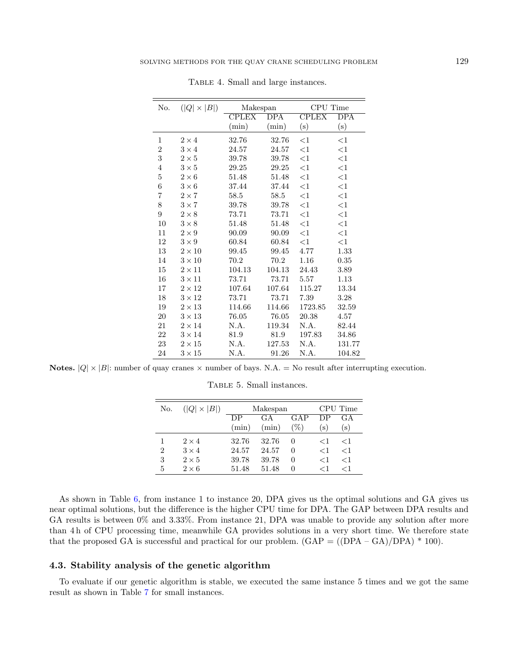<span id="page-14-0"></span>

| No.            | $( Q  \times  B )$ | Makespan     |          | CPU Time     |                  |  |
|----------------|--------------------|--------------|----------|--------------|------------------|--|
|                |                    | <b>CPLEX</b> | DPA      | <b>CPLEX</b> | $\overline{DPA}$ |  |
|                |                    | (min)        | $(\min)$ | (s)          | (s)              |  |
| 1              | $2\times 4$        | 32.76        | 32.76    | $<$ 1        | $<$ 1            |  |
| $\overline{2}$ | $3 \times 4$       | 24.57        | 24.57    | $<$ 1        | $<$ 1            |  |
| 3              | $2\times 5$        | 39.78        | 39.78    | $<$ 1        | $<$ 1            |  |
| $\overline{4}$ | $3\times 5$        | 29.25        | 29.25    | $<$ 1        | $<$ 1            |  |
| $\overline{5}$ | $2\times 6$        | 51.48        | 51.48    | $<$ 1        | $<$ 1            |  |
| 6              | $3\times6$         | 37.44        | 37.44    | $<$ 1        | $<$ 1            |  |
| 7              | $2\times7$         | 58.5         | 58.5     | $<$ 1        | $<$ 1            |  |
| 8              | $3\times7$         | 39.78        | 39.78    | $<$ 1        | $<$ 1            |  |
| 9              | $2\times 8$        | 73.71        | 73.71    | $<$ 1        | $<$ 1            |  |
| 10             | $3 \times 8$       | 51.48        | 51.48    | $<$ 1        | $<$ 1            |  |
| 11             | $2\times9$         | 90.09        | 90.09    | $<$ 1        | $<$ 1            |  |
| 12             | $3\times9$         | 60.84        | 60.84    | $<$ 1        | $<$ 1            |  |
| 13             | $2\times10$        | 99.45        | 99.45    | 4.77         | 1.33             |  |
| 14             | $3\times10$        | 70.2         | 70.2     | 1.16         | 0.35             |  |
| 15             | $2 \times 11$      | 104.13       | 104.13   | 24.43        | 3.89             |  |
| 16             | $3 \times 11$      | 73.71        | 73.71    | 5.57         | 1.13             |  |
| 17             | $2 \times 12$      | 107.64       | 107.64   | 115.27       | 13.34            |  |
| 18             | $3 \times 12$      | 73.71        | 73.71    | 7.39         | 3.28             |  |
| 19             | $2\times13$        | 114.66       | 114.66   | 1723.85      | 32.59            |  |
| $20\,$         | $3 \times 13$      | 76.05        | 76.05    | 20.38        | 4.57             |  |
| 21             | $2 \times 14$      | N.A.         | 119.34   | N.A.         | 82.44            |  |
| 22             | $3 \times 14$      | 81.9         | 81.9     | 197.83       | 34.86            |  |
| 23             | $2\times 15$       | N.A.         | 127.53   | N.A.         | 131.77           |  |
| 24             | $3\times15$        | N.A.         | 91.26    | N.A.         | 104.82           |  |

TABLE 4. Small and large instances.

<span id="page-14-1"></span>Notes.  $|Q| \times |B|$ : number of quay cranes  $\times$  number of bays. N.A. = No result after interrupting execution.

| No.            | $( Q  \times  B )$ |       | Makespan | CPU Time     |       |               |
|----------------|--------------------|-------|----------|--------------|-------|---------------|
|                |                    | DР    | GA       | GAP          | DР    | GА            |
|                |                    | (min) | (min)    | $\%$         | (s)   | $\mathbf{s})$ |
|                | $2 \times 4$       | 32.76 | 32.76    | $\mathbf{0}$ | ←1    | $<$ 1         |
| $\overline{2}$ | $3 \times 4$       | 24.57 | 24.57    | 0            | $<$ 1 | $<$ 1         |
| 3              | $2\times 5$        | 39.78 | 39.78    | $\mathbf{0}$ | $<$ 1 | $<$ 1         |
| 5              | $2\times 6$        | 51.48 | 51.48    | $\mathbf{0}$ | ←1    | ${<}1$        |

Table 5. Small instances.

As shown in Table [6,](#page-15-0) from instance 1 to instance 20, DPA gives us the optimal solutions and GA gives us near optimal solutions, but the difference is the higher CPU time for DPA. The GAP between DPA results and GA results is between 0% and 3.33%. From instance 21, DPA was unable to provide any solution after more than 4 h of CPU processing time, meanwhile GA provides solutions in a very short time. We therefore state that the proposed GA is successful and practical for our problem.  $(GAP = ((DPA - GA)/DPA) * 100)$ .

#### 4.3. Stability analysis of the genetic algorithm

To evaluate if our genetic algorithm is stable, we executed the same instance 5 times and we got the same result as shown in Table [7](#page-15-1) for small instances.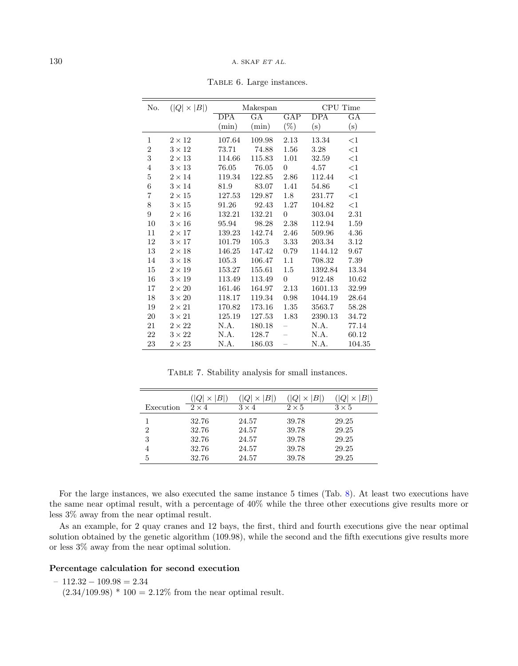<span id="page-15-0"></span>

| No.            | $( Q  \times  B )$ |                  | Makespan            |                          | CPU Time         |             |
|----------------|--------------------|------------------|---------------------|--------------------------|------------------|-------------|
|                |                    | $\overline{DPA}$ | $\overline{\rm GA}$ | GAP                      | $\overline{DPA}$ | $_{\rm GA}$ |
|                |                    | (min)            | (min)               | $(\%)$                   | $(\mathrm{s})$   | (s)         |
| $\mathbf{1}$   | $2 \times 12$      | 107.64           | 109.98              | 2.13                     | 13.34            | <1          |
| $\overline{2}$ | $3 \times 12$      | 73.71            | 74.88               | 1.56                     | 3.28             | $<$ 1       |
| 3              | $2 \times 13$      | 114.66           | 115.83              | 1.01                     | 32.59            | $<$ 1       |
| 4              | $3 \times 13$      | 76.05            | 76.05               | $\overline{0}$           | 4.57             | $<$ 1       |
| $\overline{5}$ | $2 \times 14$      | 119.34           | 122.85              | 2.86                     | 112.44           | <1          |
| 6              | $3 \times 14$      | 81.9             | 83.07               | 1.41                     | 54.86            | $<$ 1       |
| $\overline{7}$ | $2 \times 15$      | 127.53           | 129.87              | 1.8                      | 231.77           | $<$ 1       |
| 8              | $3 \times 15$      | 91.26            | 92.43               | 1.27                     | 104.82           | $<$ 1       |
| 9              | $2\times16$        | 132.21           | 132.21              | $\overline{0}$           | 303.04           | 2.31        |
| 10             | $3\times16$        | 95.94            | 98.28               | 2.38                     | 112.94           | 1.59        |
| 11             | $2 \times 17$      | 139.23           | 142.74              | 2.46                     | 509.96           | 4.36        |
| 12             | $3 \times 17$      | 101.79           | 105.3               | 3.33                     | 203.34           | 3.12        |
| 13             | $2 \times 18$      | 146.25           | 147.42              | 0.79                     | 1144.12          | 9.67        |
| 14             | $3 \times 18$      | 105.3            | 106.47              | 1.1                      | 708.32           | 7.39        |
| 15             | $2\times19$        | 153.27           | 155.61              | 1.5                      | 1392.84          | 13.34       |
| 16             | $3 \times 19$      | 113.49           | 113.49              | $\overline{0}$           | 912.48           | 10.62       |
| 17             | $2\times 20$       | 161.46           | 164.97              | 2.13                     | 1601.13          | 32.99       |
| 18             | $3\times 20$       | 118.17           | 119.34              | 0.98                     | 1044.19          | 28.64       |
| 19             | $2\times 21$       | 170.82           | 173.16              | 1.35                     | 3563.7           | 58.28       |
| $20\,$         | $3 \times 21$      | 125.19           | 127.53              | 1.83                     | 2390.13          | 34.72       |
| 21             | $2\times 22$       | N.A.             | 180.18              | $\overline{\phantom{0}}$ | N.A.             | 77.14       |
| 22             | $3\times 22$       | N.A.             | 128.7               |                          | N.A.             | 60.12       |
| 23             | $2\times 23$       | N.A.             | 186.03              |                          | N.A.             | 104.35      |

Table 6. Large instances.

Table 7. Stability analysis for small instances.

<span id="page-15-1"></span>

|           | $B^{\parallel}$ | B <br>$\times$ | B <br>$\times$ | B           |
|-----------|-----------------|----------------|----------------|-------------|
| Execution | $2 \times 4$    | $3 \times 4$   | $2\times 5$    | $3\times 5$ |
|           | 32.76           | 24.57          | 39.78          | 29.25       |
| 2         | 32.76           | 24.57          | 39.78          | 29.25       |
| 3         | 32.76           | 24.57          | 39.78          | 29.25       |
| 4         | 32.76           | 24.57          | 39.78          | 29.25       |
| 5         | 32.76           | 24.57          | 39.78          | 29.25       |

For the large instances, we also executed the same instance 5 times (Tab. [8\)](#page-16-1). At least two executions have the same near optimal result, with a percentage of 40% while the three other executions give results more or less 3% away from the near optimal result.

As an example, for 2 quay cranes and 12 bays, the first, third and fourth executions give the near optimal solution obtained by the genetic algorithm (109.98), while the second and the fifth executions give results more or less 3% away from the near optimal solution.

#### Percentage calculation for second execution

 $-112.32 - 109.98 = 2.34$ 

 $(2.34/109.98) * 100 = 2.12\%$  from the near optimal result.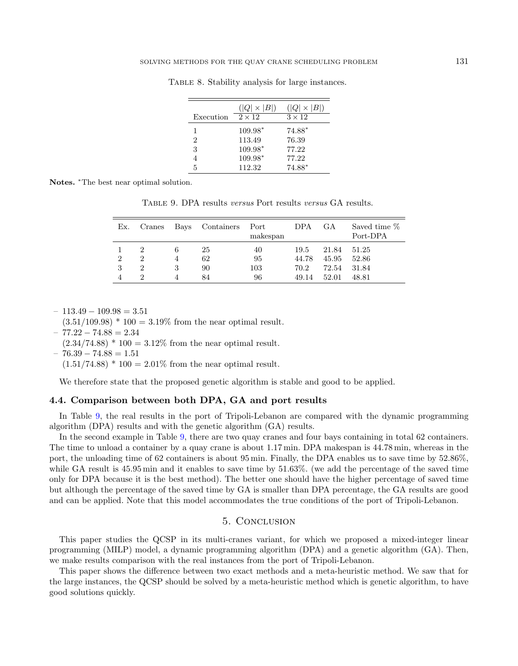|           | $( Q  \times  B )$ | $( Q  \times  B )$ |
|-----------|--------------------|--------------------|
| Execution | $2 \times 12$      | $3 \times 12$      |
|           | $109.98*$          | $74.88*$           |
| 2         | 113.49             | 76.39              |
| 3         | $109.98*$          | 77.22              |
|           | $109.98*$          | 77.22              |
| 5         | 112.32             | $74.88*$           |

Table 8. Stability analysis for large instances.

<span id="page-16-2"></span><span id="page-16-1"></span>Notes. <sup>∗</sup>The best near optimal solution.

Table 9. DPA results versus Port results versus GA results.

| Ex.            | Cranes         | Bays | Containers | $\rm Port$<br>makespan | <b>DPA</b> | GА    | Saved time \%<br>Port-DPA |
|----------------|----------------|------|------------|------------------------|------------|-------|---------------------------|
|                | 2              | 6    | 25         | 40                     | 19.5       | 21.84 | 51.25                     |
| $\overline{2}$ | $\overline{2}$ |      | 62         | 95                     | 44.78      | 45.95 | 52.86                     |
| 3              | 2              | 3    | 90         | 103                    | 70.2       | 72.54 | 31.84                     |
|                | 9              |      | 84         | 96                     | 49.14      | 52.01 | 48.81                     |

 $-113.49 - 109.98 = 3.51$ 

 $(3.51/109.98) * 100 = 3.19\%$  from the near optimal result.

 $-77.22 - 74.88 = 2.34$ 

 $(2.34/74.88) * 100 = 3.12\%$  from the near optimal result.

 $-76.39 - 74.88 = 1.51$ 

 $(1.51/74.88) * 100 = 2.01\%$  from the near optimal result.

We therefore state that the proposed genetic algorithm is stable and good to be applied.

#### 4.4. Comparison between both DPA, GA and port results

In Table [9,](#page-16-2) the real results in the port of Tripoli-Lebanon are compared with the dynamic programming algorithm (DPA) results and with the genetic algorithm (GA) results.

In the second example in Table [9,](#page-16-2) there are two quay cranes and four bays containing in total 62 containers. The time to unload a container by a quay crane is about 1.17 min. DPA makespan is 44.78 min, whereas in the port, the unloading time of 62 containers is about 95 min. Finally, the DPA enables us to save time by 52.86%, while GA result is 45.95 min and it enables to save time by 51.63%. (we add the percentage of the saved time only for DPA because it is the best method). The better one should have the higher percentage of saved time but although the percentage of the saved time by GA is smaller than DPA percentage, the GA results are good and can be applied. Note that this model accommodates the true conditions of the port of Tripoli-Lebanon.

# 5. Conclusion

<span id="page-16-0"></span>This paper studies the QCSP in its multi-cranes variant, for which we proposed a mixed-integer linear programming (MILP) model, a dynamic programming algorithm (DPA) and a genetic algorithm (GA). Then, we make results comparison with the real instances from the port of Tripoli-Lebanon.

This paper shows the difference between two exact methods and a meta-heuristic method. We saw that for the large instances, the QCSP should be solved by a meta-heuristic method which is genetic algorithm, to have good solutions quickly.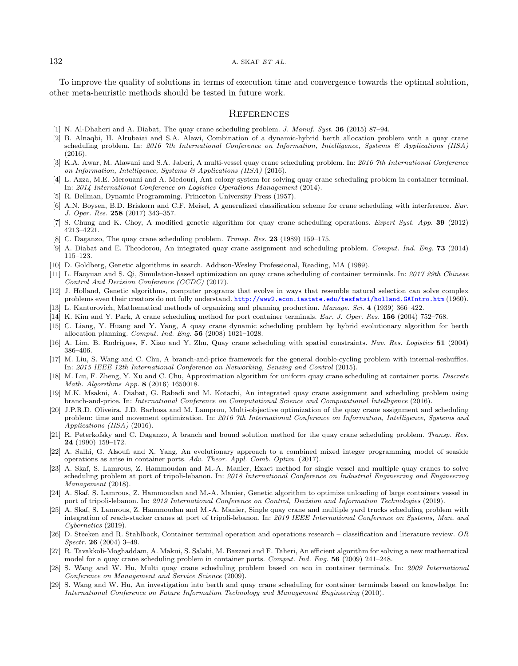<span id="page-17-26"></span><span id="page-17-18"></span><span id="page-17-9"></span><span id="page-17-7"></span><span id="page-17-5"></span><span id="page-17-4"></span><span id="page-17-3"></span>To improve the quality of solutions in terms of execution time and convergence towards the optimal solution, other meta-heuristic methods should be tested in future work.

### **REFERENCES**

- <span id="page-17-10"></span><span id="page-17-0"></span>[1] N. Al-Dhaheri and A. Diabat, The quay crane scheduling problem. J. Manuf. Syst. 36 (2015) 87–94.
- <span id="page-17-28"></span><span id="page-17-21"></span>[2] B. Alnaqbi, H. Alrubaiai and S.A. Alawi, Combination of a dynamic-hybrid berth allocation problem with a quay crane scheduling problem. In: 2016 7th International Conference on Information, Intelligence, Systems & Applications (IISA) (2016).
- <span id="page-17-27"></span>[3] K.A. Awar, M. Alawani and S.A. Jaberi, A multi-vessel quay crane scheduling problem. In: 2016 7th International Conference on Information, Intelligence, Systems & Applications (IISA) (2016).
- <span id="page-17-25"></span>[4] L. Azza, M.E. Merouani and A. Medouri, Ant colony system for solving quay crane scheduling problem in container terminal. In: 2014 International Conference on Logistics Operations Management (2014).
- <span id="page-17-8"></span><span id="page-17-2"></span>[5] R. Bellman, Dynamic Programming. Princeton University Press (1957).
- [6] A.N. Boysen, B.D. Briskorn and C.F. Meisel, A generalized classification scheme for crane scheduling with interference. Eur. J. Oper. Res. 258 (2017) 343–357.
- <span id="page-17-12"></span>[7] S. Chung and K. Choy, A modified genetic algorithm for quay crane scheduling operations. *Expert Syst. App.* 39 (2012) 4213–4221.
- <span id="page-17-13"></span>[8] C. Daganzo, The quay crane scheduling problem. *Transp. Res.* **23** (1989) 159–175.
- <span id="page-17-20"></span>[9] A. Diabat and E. Theodorou, An integrated quay crane assignment and scheduling problem. Comput. Ind. Eng. 73 (2014) 115–123.
- <span id="page-17-14"></span>[10] D. Goldberg, Genetic algorithms in search. Addison-Wesley Professional, Reading, MA (1989).
- [11] L. Haoyuan and S. Qi, Simulation-based optimization on quay crane scheduling of container terminals. In: 2017 29th Chinese Control And Decision Conference (CCDC) (2017).
- <span id="page-17-19"></span>[12] J. Holland, Genetic algorithms, computer programs that evolve in ways that resemble natural selection can solve complex problems even their creators do not fully understand. <http://www2.econ.iastate.edu/tesfatsi/holland.GAIntro.htm> (1960).
- <span id="page-17-1"></span>[13] L. Kantorovich, Mathematical methods of organizing and planning production. Manage. Sci. 4 (1939) 366–422.
- [14] K. Kim and Y. Park, A crane scheduling method for port container terminals. Eur. J. Oper. Res. 156 (2004) 752–768.
- <span id="page-17-11"></span>[15] C. Liang, Y. Huang and Y. Yang, A quay crane dynamic scheduling problem by hybrid evolutionary algorithm for berth allocation planning. Comput. Ind. Eng. 56 (2008) 1021–1028.
- <span id="page-17-22"></span>[16] A. Lim, B. Rodrigues, F. Xiao and Y. Zhu, Quay crane scheduling with spatial constraints. Nav. Res. Logistics 51 (2004) 386–406.
- [17] M. Liu, S. Wang and C. Chu, A branch-and-price framework for the general double-cycling problem with internal-reshuffles. In: 2015 IEEE 12th International Conference on Networking, Sensing and Control (2015).
- <span id="page-17-23"></span>[18] M. Liu, F. Zheng, Y. Xu and C. Chu, Approximation algorithm for uniform quay crane scheduling at container ports. Discrete Math. Algorithms App. 8 (2016) 1650018.
- <span id="page-17-24"></span>[19] M.K. Msakni, A. Diabat, G. Rabadi and M. Kotachi, An integrated quay crane assignment and scheduling problem using branch-and-price. In: International Conference on Computational Science and Computational Intelligence (2016).
- <span id="page-17-15"></span>[20] J.P.R.D. Oliveira, J.D. Barbosa and M. Lamprou, Multi-objective optimization of the quay crane assignment and scheduling problem: time and movement optimization. In: 2016 7th International Conference on Information, Intelligence, Systems and Applications (IISA) (2016).
- <span id="page-17-6"></span>[21] R. Peterkofsky and C. Daganzo, A branch and bound solution method for the quay crane scheduling problem. Transp. Res. 24 (1990) 159–172.
- <span id="page-17-16"></span>[22] A. Salhi, G. Alsoufi and X. Yang, An evolutionary approach to a combined mixed integer programming model of seaside operations as arise in container ports. Adv. Theor. Appl. Comb. Optim. (2017).
- <span id="page-17-17"></span>[23] A. Skaf, S. Lamrous, Z. Hammoudan and M.-A. Manier, Exact method for single vessel and multiple quay cranes to solve scheduling problem at port of tripoli-lebanon. In: 2018 International Conference on Industrial Engineering and Engineering Management (2018).
- [24] A. Skaf, S. Lamrous, Z. Hammoudan and M.-A. Manier, Genetic algorithm to optimize unloading of large containers vessel in port of tripoli-lebanon. In: 2019 International Conference on Control, Decision and Information Technologies (2019).
- [25] A. Skaf, S. Lamrous, Z. Hammoudan and M.-A. Manier, Single quay crane and multiple yard trucks scheduling problem with integration of reach-stacker cranes at port of tripoli-lebanon. In: 2019 IEEE International Conference on Systems, Man, and Cybernetics (2019).
- [26] D. Steeken and R. Stahlbock, Container terminal operation and operations research classification and literature review. OR Spectr. 26 (2004) 3–49.
- [27] R. Tavakkoli-Moghaddam, A. Makui, S. Salahi, M. Bazzazi and F. Taheri, An efficient algorithm for solving a new mathematical model for a quay crane scheduling problem in container ports. Comput. Ind. Eng. 56 (2009) 241–248.
- [28] S. Wang and W. Hu, Multi quay crane scheduling problem based on aco in container terminals. In: 2009 International Conference on Management and Service Science (2009).
- [29] S. Wang and W. Hu, An investigation into berth and quay crane scheduling for container terminals based on knowledge. In: International Conference on Future Information Technology and Management Engineering (2010).